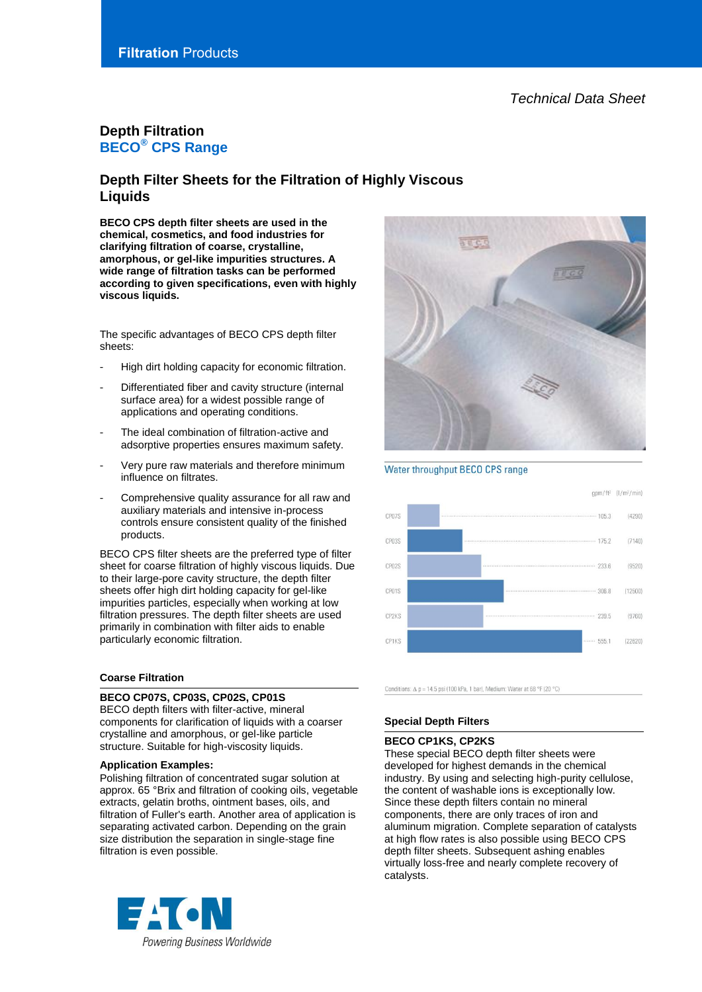# **Filtration** Products

# **Depth Filtration BECO® CPS Range**

# **Depth Filter Sheets for the Filtration of Highly Viscous Liquids**

**BECO CPS depth filter sheets are used in the chemical, cosmetics, and food industries for clarifying filtration of coarse, crystalline, amorphous, or gel-like impurities structures. A wide range of filtration tasks can be performed according to given specifications, even with highly viscous liquids.**

The specific advantages of BECO CPS depth filter sheets:

- High dirt holding capacity for economic filtration.
- Differentiated fiber and cavity structure (internal surface area) for a widest possible range of applications and operating conditions.
- The ideal combination of filtration-active and adsorptive properties ensures maximum safety.
- Very pure raw materials and therefore minimum influence on filtrates.
- Comprehensive quality assurance for all raw and auxiliary materials and intensive in-process controls ensure consistent quality of the finished products.

BECO CPS filter sheets are the preferred type of filter sheet for coarse filtration of highly viscous liquids. Due to their large-pore cavity structure, the depth filter sheets offer high dirt holding capacity for gel-like impurities particles, especially when working at low filtration pressures. The depth filter sheets are used primarily in combination with filter aids to enable particularly economic filtration.

# **Coarse Filtration**

#### **BECO CP07S, CP03S, CP02S, CP01S**

BECO depth filters with filter-active, mineral components for clarification of liquids with a coarser crystalline and amorphous, or gel-like particle structure. Suitable for high-viscosity liquids.

#### **Application Examples:**

Polishing filtration of concentrated sugar solution at approx. 65 °Brix and filtration of cooking oils, vegetable extracts, gelatin broths, ointment bases, oils, and filtration of Fuller's earth. Another area of application is separating activated carbon. Depending on the grain size distribution the separation in single-stage fine filtration is even possible.





Conditions:  $\Delta$  p = 14.5 psi (100 kPa, 1 bar), Medium: Water at 68 °F (20 °C)

# **Special Depth Filters**

#### **BECO CP1KS, CP2KS**

These special BECO depth filter sheets were developed for highest demands in the chemical industry. By using and selecting high-purity cellulose, the content of washable ions is exceptionally low. Since these depth filters contain no mineral components, there are only traces of iron and aluminum migration. Complete separation of catalysts at high flow rates is also possible using BECO CPS depth filter sheets. Subsequent ashing enables virtually loss-free and nearly complete recovery of catalysts.

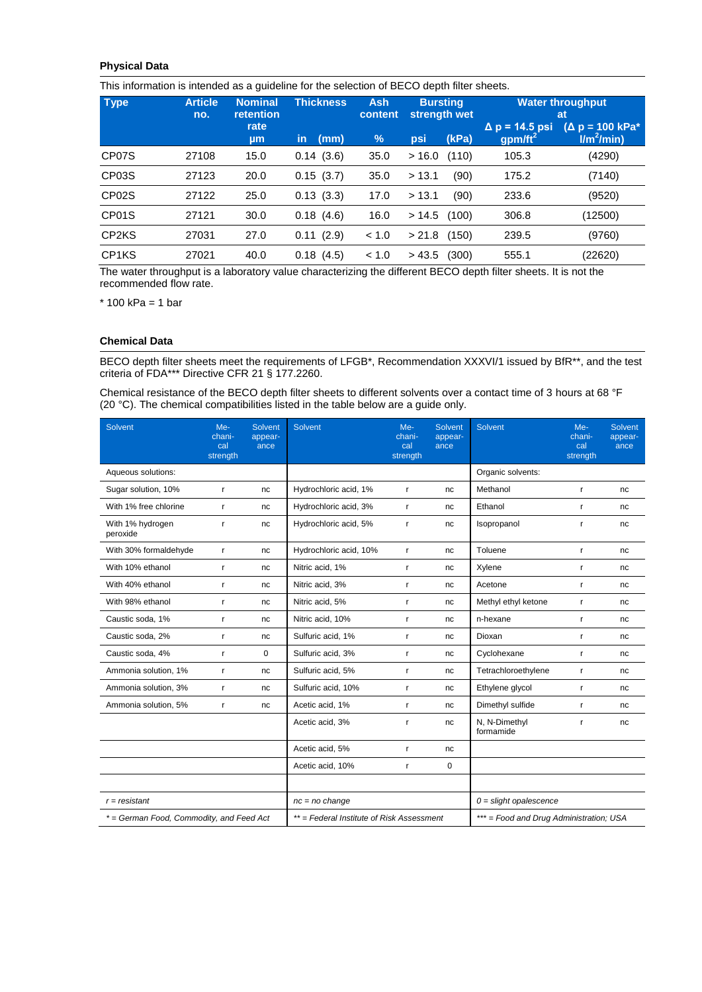# **Physical Data**

This information is intended as a guideline for the selection of BECO depth filter sheets.

| <b>Type</b>                    | <b>Article</b><br>no. | <b>Nominal</b><br><b>retention</b> | <b>Thickness</b> | <b>Ash</b><br>content | <b>Bursting</b><br>strength wet |       | <b>Water throughput</b><br><b>at</b>         |                                                           |
|--------------------------------|-----------------------|------------------------------------|------------------|-----------------------|---------------------------------|-------|----------------------------------------------|-----------------------------------------------------------|
|                                |                       | rate<br>µm                         | in<br>(mm)       | $\%$                  | psi                             | (kPa) | $\Delta$ p = 14.5 psi<br>gpm/ft <sup>2</sup> | $(\Delta p = 100 \text{ kPa}^*)$<br>Im <sup>2</sup> /min) |
| CP07S                          | 27108                 | 15.0                               | 0.14(3.6)        | 35.0                  | > 16.0                          | (110) | 105.3                                        | (4290)                                                    |
| CP03S                          | 27123                 | 20.0                               | 0.15(3.7)        | 35.0                  | > 13.1                          | (90)  | 175.2                                        | (7140)                                                    |
| CP <sub>02</sub> S             | 27122                 | 25.0                               | 0.13(3.3)        | 17.0                  | > 13.1                          | (90)  | 233.6                                        | (9520)                                                    |
| CP01S                          | 27121                 | 30.0                               | 0.18(4.6)        | 16.0                  | >14.5                           | (100) | 306.8                                        | (12500)                                                   |
| CP <sub>2</sub> K <sub>S</sub> | 27031                 | 27.0                               | 0.11(2.9)        | < 1.0                 | > 21.8                          | (150) | 239.5                                        | (9760)                                                    |
| CP <sub>1</sub> KS             | 27021                 | 40.0                               | 0.18(4.5)        | < 1.0                 | > 43.5                          | (300) | 555.1                                        | (22620)                                                   |

The water throughput is a laboratory value characterizing the different BECO depth filter sheets. It is not the recommended flow rate.

 $*$  100 kPa = 1 bar

# **Chemical Data**

BECO depth filter sheets meet the requirements of LFGB\*, Recommendation XXXVI/1 issued by BfR\*\*, and the test criteria of FDA\*\*\* Directive CFR 21 § 177.2260.

Chemical resistance of the BECO depth filter sheets to different solvents over a contact time of 3 hours at 68 °F (20 °C). The chemical compatibilities listed in the table below are a guide only.

| Solvent                                  | $Me-$<br>chani-<br>cal<br>strength | Solvent<br>appear-<br>ance | Solvent                                  | $Me-$<br>chani-<br>cal<br>strength | Solvent<br>appear-<br>ance | Solvent                                 | Me-<br>chani-<br>cal<br>strength | Solvent<br>appear-<br>ance |
|------------------------------------------|------------------------------------|----------------------------|------------------------------------------|------------------------------------|----------------------------|-----------------------------------------|----------------------------------|----------------------------|
| Aqueous solutions:                       |                                    |                            |                                          |                                    |                            | Organic solvents:                       |                                  |                            |
| Sugar solution, 10%                      | r                                  | nc                         | Hydrochloric acid, 1%                    | r                                  | nc                         | Methanol                                | r.                               | nc                         |
| With 1% free chlorine                    | r                                  | nc                         | Hydrochloric acid, 3%                    | r                                  | nc                         | Ethanol                                 | r.                               | nc                         |
| With 1% hydrogen<br>peroxide             | r                                  | nc                         | Hydrochloric acid, 5%                    | r                                  | nc                         | Isopropanol                             | r                                | nc                         |
| With 30% formaldehyde                    | r                                  | nc                         | Hydrochloric acid, 10%                   | r                                  | nc                         | Toluene                                 | r.                               | nc                         |
| With 10% ethanol                         | r                                  | nc                         | Nitric acid, 1%                          | r                                  | nc                         | Xylene                                  | r                                | nc                         |
| With 40% ethanol                         | r                                  | nc                         | Nitric acid, 3%                          | r                                  | nc                         | Acetone                                 | r.                               | nc                         |
| With 98% ethanol                         | r                                  | nc                         | Nitric acid, 5%                          | r                                  | nc                         | Methyl ethyl ketone                     | r                                | nc                         |
| Caustic soda, 1%                         | r                                  | nc                         | Nitric acid, 10%                         | r                                  | nc                         | n-hexane                                | r.                               | nc                         |
| Caustic soda, 2%                         | r                                  | nc                         | Sulfuric acid, 1%                        | r                                  | nc                         | Dioxan                                  | r                                | nc                         |
| Caustic soda, 4%                         | r                                  | $\mathbf 0$                | Sulfuric acid, 3%                        | r                                  | nc                         | Cyclohexane                             | r.                               | nc                         |
| Ammonia solution, 1%                     | r                                  | nc                         | Sulfuric acid, 5%                        | r                                  | nc                         | Tetrachloroethylene                     | r                                | nc                         |
| Ammonia solution, 3%                     | r                                  | nc                         | Sulfuric acid, 10%                       | r                                  | nc                         | Ethylene glycol                         | r.                               | nc                         |
| Ammonia solution, 5%                     | r                                  | nc                         | Acetic acid, 1%                          | r                                  | nc                         | Dimethyl sulfide                        | r                                | nc                         |
|                                          |                                    |                            | Acetic acid, 3%                          | r                                  | nc                         | N, N-Dimethyl<br>formamide              | r                                | nc                         |
|                                          |                                    |                            | Acetic acid, 5%                          | r                                  | nc                         |                                         |                                  |                            |
|                                          |                                    |                            | Acetic acid, 10%                         | r                                  | 0                          |                                         |                                  |                            |
| $r = resistance$                         |                                    |                            | $nc = no$ change                         |                                    |                            | $0 =$ slight opalescence                |                                  |                            |
| * = German Food, Commodity, and Feed Act |                                    |                            | **= Federal Institute of Risk Assessment |                                    |                            | *** = Food and Drug Administration; USA |                                  |                            |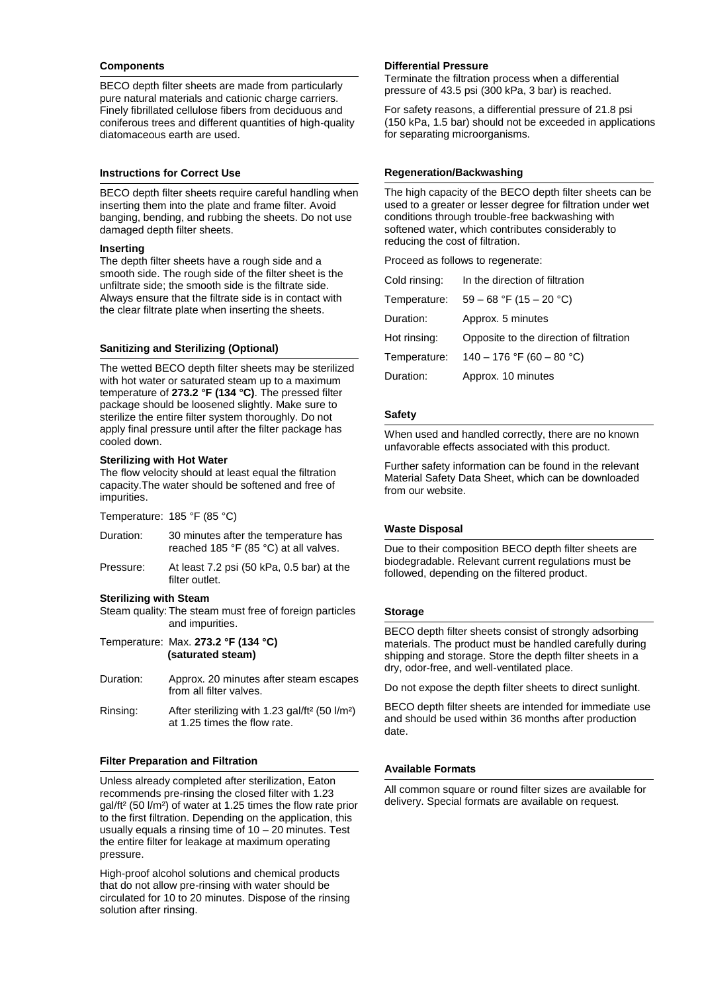#### **Components**

BECO depth filter sheets are made from particularly pure natural materials and cationic charge carriers. Finely fibrillated cellulose fibers from deciduous and coniferous trees and different quantities of high-quality diatomaceous earth are used.

# **Instructions for Correct Use**

BECO depth filter sheets require careful handling when inserting them into the plate and frame filter. Avoid banging, bending, and rubbing the sheets. Do not use damaged depth filter sheets.

#### **Inserting**

The depth filter sheets have a rough side and a smooth side. The rough side of the filter sheet is the unfiltrate side; the smooth side is the filtrate side. Always ensure that the filtrate side is in contact with the clear filtrate plate when inserting the sheets.

# **Sanitizing and Sterilizing (Optional)**

The wetted BECO depth filter sheets may be sterilized with hot water or saturated steam up to a maximum temperature of **273.2 °F (134 °C)**. The pressed filter package should be loosened slightly. Make sure to sterilize the entire filter system thoroughly. Do not apply final pressure until after the filter package has cooled down.

#### **Sterilizing with Hot Water**

The flow velocity should at least equal the filtration capacity.The water should be softened and free of impurities.

| Temperature: 185 °F (85 °C) |  |
|-----------------------------|--|
|-----------------------------|--|

- Duration: 30 minutes after the temperature has reached 185 °F (85 °C) at all valves.
- Pressure: At least 7.2 psi (50 kPa, 0.5 bar) at the filter outlet.

#### **Sterilizing with Steam**

Steam quality: The steam must free of foreign particles and impurities.

- Temperature: Max. **273.2 °F (134 °C) (saturated steam)**
- Duration: Approx. 20 minutes after steam escapes from all filter valves.
- Rinsing: After sterilizing with 1.23 gal/ft² (50 l/m²) at 1.25 times the flow rate.

# **Filter Preparation and Filtration**

Unless already completed after sterilization, Eaton recommends pre-rinsing the closed filter with 1.23 gal/ft² (50 l/m²) of water at 1.25 times the flow rate prior to the first filtration. Depending on the application, this usually equals a rinsing time of 10 – 20 minutes. Test the entire filter for leakage at maximum operating pressure.

High-proof alcohol solutions and chemical products that do not allow pre-rinsing with water should be circulated for 10 to 20 minutes. Dispose of the rinsing solution after rinsing.

# **Differential Pressure**

Terminate the filtration process when a differential pressure of 43.5 psi (300 kPa, 3 bar) is reached.

For safety reasons, a differential pressure of 21.8 psi (150 kPa, 1.5 bar) should not be exceeded in applications for separating microorganisms.

# **Regeneration/Backwashing**

The high capacity of the BECO depth filter sheets can be used to a greater or lesser degree for filtration under wet conditions through trouble-free backwashing with softened water, which contributes considerably to reducing the cost of filtration.

Proceed as follows to regenerate:

| Cold rinsing: | In the direction of filtration          |
|---------------|-----------------------------------------|
| Temperature:  | $59 - 68$ °F (15 - 20 °C)               |
| Duration:     | Approx. 5 minutes                       |
| Hot rinsing:  | Opposite to the direction of filtration |
| Temperature:  | 140 - 176 °F (60 - 80 °C)               |
| Duration:     | Approx. 10 minutes                      |

#### **Safety**

When used and handled correctly, there are no known unfavorable effects associated with this product.

Further safety information can be found in the relevant Material Safety Data Sheet, which can be downloaded from our website.

# **Waste Disposal**

Due to their composition BECO depth filter sheets are biodegradable. Relevant current regulations must be followed, depending on the filtered product.

# **Storage**

BECO depth filter sheets consist of strongly adsorbing materials. The product must be handled carefully during shipping and storage. Store the depth filter sheets in a dry, odor-free, and well-ventilated place.

Do not expose the depth filter sheets to direct sunlight.

BECO depth filter sheets are intended for immediate use and should be used within 36 months after production date.

# **Available Formats**

All common square or round filter sizes are available for delivery. Special formats are available on request.